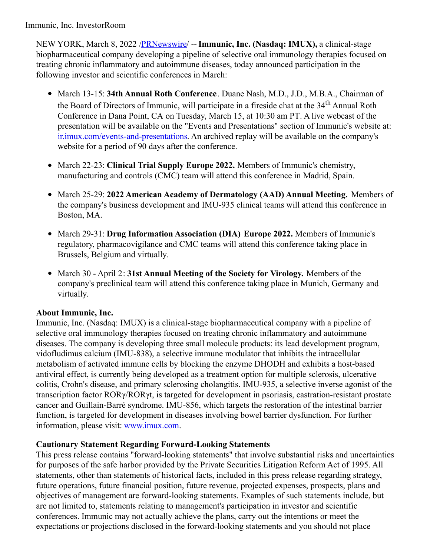Immunic, Inc. InvestorRoom

NEW YORK, March 8, 2022 [/PRNewswire](http://www.prnewswire.com/)/ --**Immunic, Inc. (Nasdaq: IMUX),** a clinical-stage biopharmaceutical company developing a pipeline of selective oral immunology therapies focused on treating chronic inflammatory and autoimmune diseases, today announced participation in the following investor and scientific conferences in March:

- March 13-15: **34th Annual Roth Conference**. Duane Nash, M.D., J.D., M.B.A., Chairman of the Board of Directors of Immunic, will participate in a fireside chat at the 34<sup>th</sup> Annual Roth Conference in Dana Point, CA on Tuesday, March 15, at 10:30 am PT. A live webcast of the presentation will be available on the "Events and Presentations" section of Immunic's website at: [ir.imux.com/events-and-presentations](https://c212.net/c/link/?t=0&l=en&o=3464899-1&h=2626286875&u=http%3A%2F%2Fir.imux.com%2Fevents-and-presentations&a=ir.imux.com%2Fevents-and-presentations). An archived replay will be available on the company's website for a period of 90 days after the conference.
- March 22-23: **Clinical Trial Supply Europe 2022.** Members of Immunic's chemistry, manufacturing and controls (CMC) team will attend this conference in Madrid, Spain.
- March 25-29: **2022 American Academy of Dermatology (AAD) Annual Meeting.** Members of the company's business development and IMU-935 clinical teams will attend this conference in Boston, MA.
- March 29-31: **Drug Information Association (DIA) Europe 2022.** Members of Immunic's regulatory, pharmacovigilance and CMC teams will attend this conference taking place in Brussels, Belgium and virtually.
- March 30 April 2: **31st Annual Meeting of the Society for Virology.** Members of the company's preclinical team will attend this conference taking place in Munich, Germany and virtually.

# **About Immunic, Inc.**

Immunic, Inc. (Nasdaq: IMUX) is a clinical-stage biopharmaceutical company with a pipeline of selective oral immunology therapies focused on treating chronic inflammatory and autoimmune diseases. The company is developing three small molecule products: its lead development program, vidofludimus calcium (IMU-838), a selective immune modulator that inhibits the intracellular metabolism of activated immune cells by blocking the enzyme DHODH and exhibits a host-based antiviral effect, is currently being developed as a treatment option for multiple sclerosis, ulcerative colitis, Crohn's disease, and primary sclerosing cholangitis. IMU-935, a selective inverse agonist of the transcription factor RORγ/RORγt, is targeted for development in psoriasis, castration-resistant prostate cancer and Guillain-Barré syndrome. IMU-856, which targets the restoration of the intestinal barrier function, is targeted for development in diseases involving bowel barrier dysfunction. For further information, please visit: [www.imux.com](https://c212.net/c/link/?t=0&l=en&o=3464899-1&h=2312562180&u=http%3A%2F%2Fwww.imux.com%2F&a=www.imux.com).

# **Cautionary Statement Regarding Forward-Looking Statements**

This press release contains "forward-looking statements" that involve substantial risks and uncertainties for purposes of the safe harbor provided by the Private Securities Litigation Reform Act of 1995. All statements, other than statements of historical facts, included in this press release regarding strategy, future operations, future financial position, future revenue, projected expenses, prospects, plans and objectives of management are forward-looking statements. Examples of such statements include, but are not limited to, statements relating to management's participation in investor and scientific conferences. Immunic may not actually achieve the plans, carry out the intentions or meet the expectations or projections disclosed in the forward-looking statements and you should not place